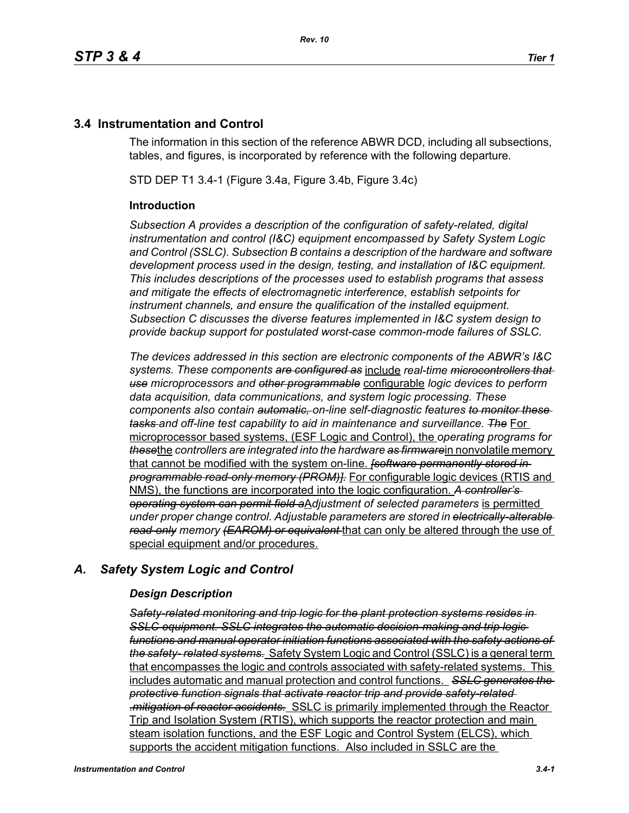# **3.4 Instrumentation and Control**

The information in this section of the reference ABWR DCD, including all subsections, tables, and figures, is incorporated by reference with the following departure.

STD DEP T1 3.4-1 (Figure 3.4a, Figure 3.4b, Figure 3.4c)

#### **Introduction**

*Subsection A provides a description of the configuration of safety-related, digital instrumentation and control (I&C) equipment encompassed by Safety System Logic and Control (SSLC). Subsection B contains a description of the hardware and software development process used in the design, testing, and installation of I&C equipment. This includes descriptions of the processes used to establish programs that assess and mitigate the effects of electromagnetic interference, establish setpoints for instrument channels, and ensure the qualification of the installed equipment. Subsection C discusses the diverse features implemented in I&C system design to provide backup support for postulated worst-case common-mode failures of SSLC.*

*The devices addressed in this section are electronic components of the ABWR's I&C systems. These components are configured as* include *real-time microcontrollers that use microprocessors and other programmable* configurable *logic devices to perform data acquisition, data communications, and system logic processing. These components also contain automatic, on-line self-diagnostic features to monitor these tasks and off-line test capability to aid in maintenance and surveillance. The* For microprocessor based systems, (ESF Logic and Control), the *operating programs for these*the *controllers are integrated into the hardware as firmware*in nonvolatile memory that cannot be modified with the system on-line. *[software permanently stored in programmable read-only memory (PROM)].* For configurable logic devices (RTIS and NMS), the functions are incorporated into the logic configuration. *A controller's operating system can permit field a*A*djustment of selected parameters* is permitted *under proper change control. Adjustable parameters are stored in electrically-alterable read-only memory (EAROM) or equivalent* that can only be altered through the use of special equipment and/or procedures.

# *A. Safety System Logic and Control*

## *Design Description*

*Safety-related monitoring and trip logic for the plant protection systems resides in SSLC equipment. SSLC integrates the automatic decision-making and trip logic functions and manual operator initiation functions associated with the safety actions of the safety- related systems.* Safety System Logic and Control (SSLC) is a general term that encompasses the logic and controls associated with safety-related systems. This includes automatic and manual protection and control functions. *SSLC generates the protective function signals that activate reactor trip and provide safety-related .mitigation of reactor accidents.* SSLC is primarily implemented through the Reactor Trip and Isolation System (RTIS), which supports the reactor protection and main steam isolation functions, and the ESF Logic and Control System (ELCS), which supports the accident mitigation functions. Also included in SSLC are the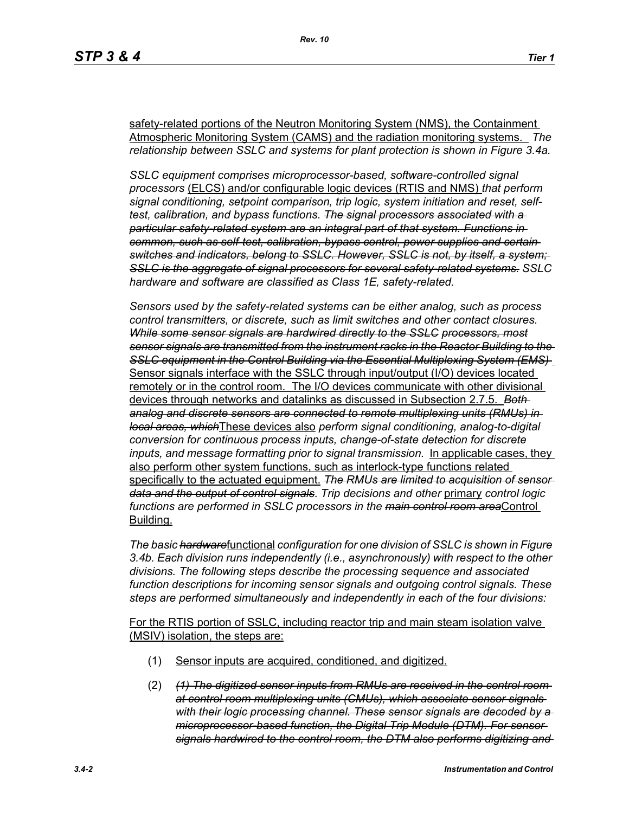safety-related portions of the Neutron Monitoring System (NMS), the Containment Atmospheric Monitoring System (CAMS) and the radiation monitoring systems. *The relationship between SSLC and systems for plant protection is shown in Figure 3.4a.*

*SSLC equipment comprises microprocessor-based, software-controlled signal processors* (ELCS) and/or configurable logic devices (RTIS and NMS) *that perform signal conditioning, setpoint comparison, trip logic, system initiation and reset, selftest, calibration, and bypass functions. The signal processors associated with a particular safety-related system are an integral part of that system. Functions in common, such as self-test, calibration, bypass control, power supplies and certain switches and indicators, belong to SSLC. However, SSLC is not, by itself, a system; SSLC is the aggregate of signal processors for several safety-related systems. SSLC hardware and software are classified as Class 1E, safety-related.*

*Sensors used by the safety-related systems can be either analog, such as process control transmitters, or discrete, such as limit switches and other contact closures. While some sensor signals are hardwired directly to the SSLC processors, most sensor signals are transmitted from the instrument racks in the Reactor Building to the SSLC equipment in the Control Building via the Essential Multiplexing System (EMS)*  Sensor signals interface with the SSLC through input/output (I/O) devices located remotely or in the control room. The I/O devices communicate with other divisional devices through networks and datalinks as discussed in Subsection 2.7.5. *Both analog and discrete sensors are connected to remote multiplexing units (RMUs) in local areas, which*These devices also *perform signal conditioning, analog-to-digital conversion for continuous process inputs, change-of-state detection for discrete inputs, and message formatting prior to signal transmission.* In applicable cases, they also perform other system functions, such as interlock-type functions related specifically to the actuated equipment. *The RMUs are limited to acquisition of sensor data and the output of control signals*. *Trip decisions and other* primary *control logic functions are performed in SSLC processors in the main control room area*Control Building.

*The basic hardware*functional *configuration for one division of SSLC is shown in Figure 3.4b. Each division runs independently (i.e., asynchronously) with respect to the other divisions. The following steps describe the processing sequence and associated function descriptions for incoming sensor signals and outgoing control signals. These steps are performed simultaneously and independently in each of the four divisions:*

For the RTIS portion of SSLC, including reactor trip and main steam isolation valve (MSIV) isolation, the steps are:

- (1) Sensor inputs are acquired, conditioned, and digitized.
- (2) *(1) The digitized sensor inputs from RMUs are received in the control room at control room multiplexing units (CMUs), which associate sensor signals with their logic processing channel. These sensor signals are decoded by a microprocessor-based function, the Digital Trip Module (DTM). For sensor signals hardwired to the control room, the DTM also performs digitizing and*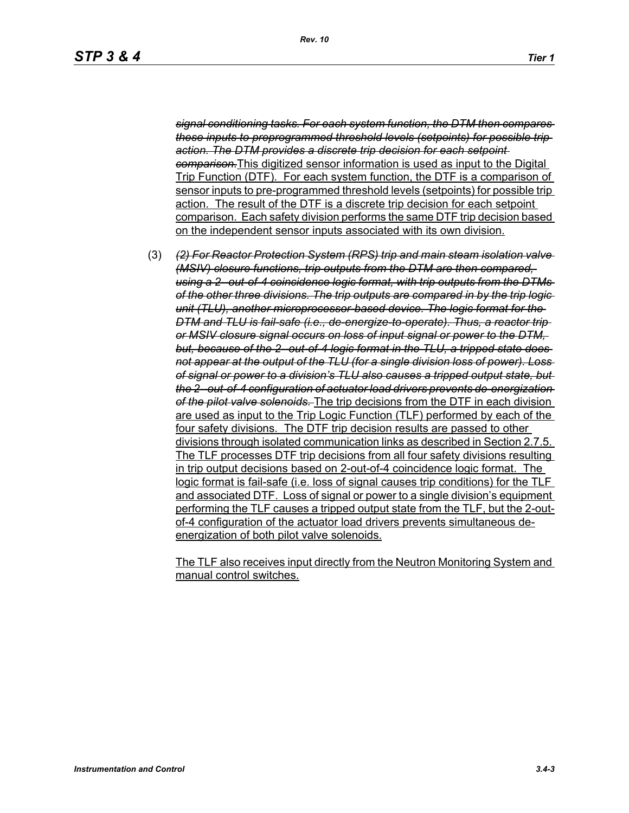*signal conditioning tasks. For each system function, the DTM then compares these inputs to preprogrammed threshold levels (setpoints) for possible trip action. The DTM provides a discrete trip decision for each setpoint comparison.*This digitized sensor information is used as input to the Digital Trip Function (DTF). For each system function, the DTF is a comparison of sensor inputs to pre-programmed threshold levels (setpoints) for possible trip action. The result of the DTF is a discrete trip decision for each setpoint comparison. Each safety division performs the same DTF trip decision based on the independent sensor inputs associated with its own division.

(3) *(2) For Reactor Protection System (RPS) trip and main steam isolation valve (MSIV) closure functions, trip outputs from the DTM are then compared, using a 2--out-of-4 coincidence logic format, with trip outputs from the DTMs of the other three divisions. The trip outputs are compared in by the trip logic unit (TLU), another microprocessor-based device. The logic format for the DTM and TLU is fail-safe (i.e., de-energize-to-operate). Thus, a reactor trip or MSIV closure signal occurs on loss of input signal or power to the DTM,*  but, because of the 2-out-of-4 logic format in the TLU, a tripped state does*not appear at the output of the TLU (for a single division loss of power). Loss of signal or power to a division's TLU also causes a tripped output state, but the 2--out-of-4 configuration of actuator load drivers prevents de-energization of the pilot valve solenoids.* The trip decisions from the DTF in each division are used as input to the Trip Logic Function (TLF) performed by each of the four safety divisions. The DTF trip decision results are passed to other divisions through isolated communication links as described in Section 2.7.5. The TLF processes DTF trip decisions from all four safety divisions resulting in trip output decisions based on 2-out-of-4 coincidence logic format. The logic format is fail-safe (i.e. loss of signal causes trip conditions) for the TLF and associated DTF. Loss of signal or power to a single division's equipment performing the TLF causes a tripped output state from the TLF, but the 2-outof-4 configuration of the actuator load drivers prevents simultaneous deenergization of both pilot valve solenoids.

The TLF also receives input directly from the Neutron Monitoring System and manual control switches.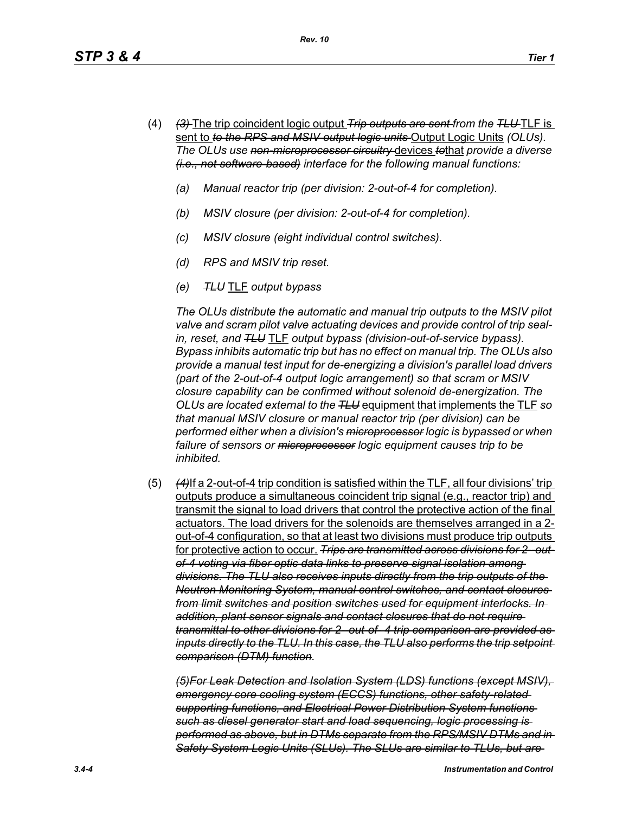- (4) *(3)* The trip coincident logic output *Trip outputs are sent from the TLU* TLF is sent to *to the RPS and MSIV output logic units* Output Logic Units *(OLUs). The OLUs use non-microprocessor circuitry* devices *to*that *provide a diverse (i.e., not software-based) interface for the following manual functions:*
	- *(a) Manual reactor trip (per division: 2-out-of-4 for completion).*
	- *(b) MSIV closure (per division: 2-out-of-4 for completion).*
	- *(c) MSIV closure (eight individual control switches).*
	- *(d) RPS and MSIV trip reset.*
	- *(e) TLU* TLF *output bypass*

*The OLUs distribute the automatic and manual trip outputs to the MSIV pilot valve and scram pilot valve actuating devices and provide control of trip sealin, reset, and TLU* TLF *output bypass (division-out-of-service bypass). Bypass inhibits automatic trip but has no effect on manual trip. The OLUs also provide a manual test input for de-energizing a division's parallel load drivers (part of the 2-out-of-4 output logic arrangement) so that scram or MSIV closure capability can be confirmed without solenoid de-energization. The OLUs are located external to the TLU* equipment that implements the TLF *so that manual MSIV closure or manual reactor trip (per division) can be performed either when a division's microprocessor logic is bypassed or when failure of sensors or microprocessor logic equipment causes trip to be inhibited.*

(5) *(4)*If a 2-out-of-4 trip condition is satisfied within the TLF, all four divisions' trip outputs produce a simultaneous coincident trip signal (e.g., reactor trip) and transmit the signal to load drivers that control the protective action of the final actuators. The load drivers for the solenoids are themselves arranged in a 2 out-of-4 configuration, so that at least two divisions must produce trip outputs for protective action to occur. *Trips are transmitted across divisions for 2--outof-4 voting via fiber optic data links to preserve signal isolation among divisions. The TLU also receives inputs directly from the trip outputs of the Neutron Monitoring System, manual control switches, and contact closures from limit switches and position switches used for equipment interlocks. In addition, plant sensor signals and contact closures that do not require transmittal to other divisions for 2--out-of- 4 trip comparison are provided as inputs directly to the TLU. In this case, the TLU also performs the trip setpoint comparison (DTM) function.*

*(5)For Leak Detection and Isolation System (LDS) functions (except MSIV), emergency core cooling system (ECCS) functions, other safety-related supporting functions, and Electrical Power Distribution System functions such as diesel generator start and load sequencing, logic processing is performed as above, but in DTMs separate from the RPS/MSIV DTMs and in Safety System Logic Units (SLUs). The SLUs are similar to TLUs, but are*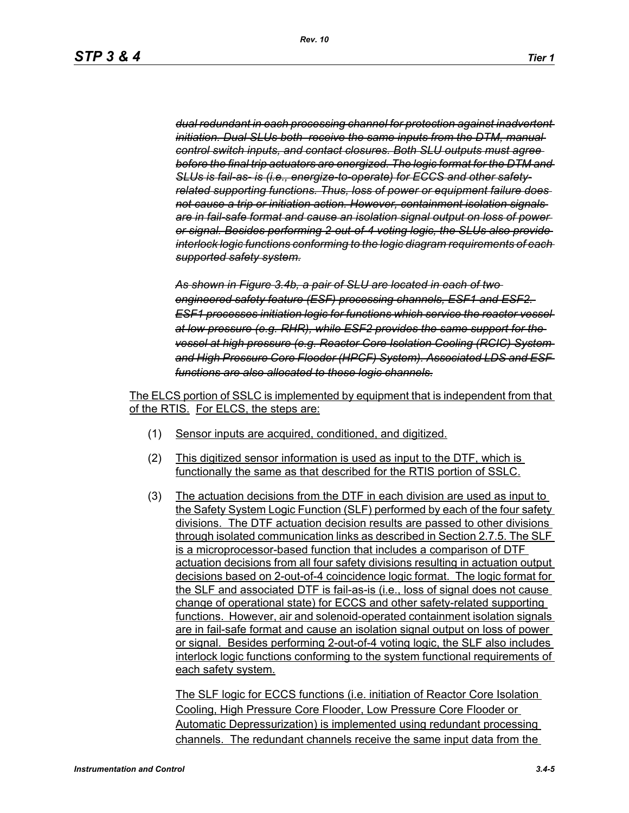*dual redundant in each processing channel for protection against inadvertent initiation. Dual SLUs both receive the same inputs from the DTM, manual control switch inputs, and contact closures. Both SLU outputs must agree before the final trip actuators are energized. The logic format for the DTM and SLUs is fail-as- is (i.e., energize-to-operate) for ECCS and other safetyrelated supporting functions. Thus, loss of power or equipment failure does not cause a trip or initiation action. However, containment isolation signals are in fail-safe format and cause an isolation signal output on loss of power or signal. Besides performing 2-out-of-4 voting logic, the SLUs also provide interlock logic functions conforming to the logic diagram requirements of each supported safety system.*

*As shown in Figure 3.4b, a pair of SLU are located in each of two engineered safety feature (ESF) processing channels, ESF1 and ESF2. ESF1 processes initiation logic for functions which service the reactor vessel at low pressure (e.g. RHR), while ESF2 provides the same support for the vessel at high pressure (e.g. Reactor Core Isolation Cooling (RCIC) System and High Pressure Core Flooder (HPCF) System). Associated LDS and ESF functions are also allocated to these logic channels.*

The ELCS portion of SSLC is implemented by equipment that is independent from that of the RTIS. For ELCS, the steps are:

- (1) Sensor inputs are acquired, conditioned, and digitized.
- (2) This digitized sensor information is used as input to the DTF, which is functionally the same as that described for the RTIS portion of SSLC.
- (3) The actuation decisions from the DTF in each division are used as input to the Safety System Logic Function (SLF) performed by each of the four safety divisions. The DTF actuation decision results are passed to other divisions through isolated communication links as described in Section 2.7.5. The SLF is a microprocessor-based function that includes a comparison of DTF actuation decisions from all four safety divisions resulting in actuation output decisions based on 2-out-of-4 coincidence logic format. The logic format for the SLF and associated DTF is fail-as-is (i.e., loss of signal does not cause change of operational state) for ECCS and other safety-related supporting functions. However, air and solenoid-operated containment isolation signals are in fail-safe format and cause an isolation signal output on loss of power or signal. Besides performing 2-out-of-4 voting logic, the SLF also includes interlock logic functions conforming to the system functional requirements of each safety system.

The SLF logic for ECCS functions (i.e. initiation of Reactor Core Isolation Cooling, High Pressure Core Flooder, Low Pressure Core Flooder or Automatic Depressurization) is implemented using redundant processing channels. The redundant channels receive the same input data from the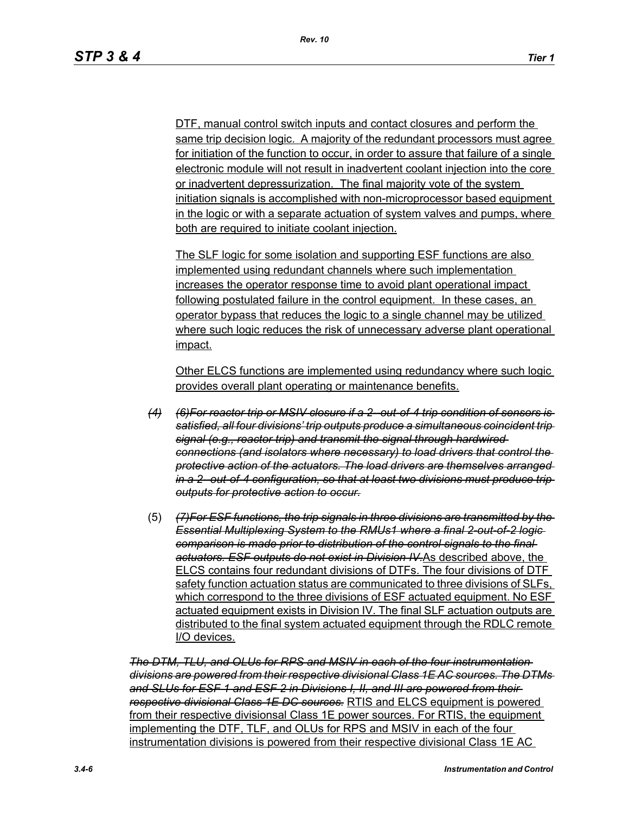DTF, manual control switch inputs and contact closures and perform the same trip decision logic. A majority of the redundant processors must agree for initiation of the function to occur, in order to assure that failure of a single electronic module will not result in inadvertent coolant injection into the core or inadvertent depressurization. The final majority vote of the system initiation signals is accomplished with non-microprocessor based equipment in the logic or with a separate actuation of system valves and pumps, where both are required to initiate coolant injection.

The SLF logic for some isolation and supporting ESF functions are also implemented using redundant channels where such implementation increases the operator response time to avoid plant operational impact following postulated failure in the control equipment. In these cases, an operator bypass that reduces the logic to a single channel may be utilized where such logic reduces the risk of unnecessary adverse plant operational impact.

Other ELCS functions are implemented using redundancy where such logic provides overall plant operating or maintenance benefits.

- *(4) (6)For reactor trip or MSIV closure if a 2--out-of-4 trip condition of sensors is satisfied, all four divisions' trip outputs produce a simultaneous coincident trip signal (e.g., reactor trip) and transmit the signal through hardwired connections (and isolators where necessary) to load drivers that control the protective action of the actuators. The load drivers are themselves arranged in a 2--out-of-4 configuration, so that at least two divisions must produce trip outputs for protective action to occur.*
- (5) *(7)For ESF functions, the trip signals in three divisions are transmitted by the Essential Multiplexing System to the RMUs1 where a final 2-out-of-2 logic comparison is made prior to distribution of the control signals to the final actuators. ESF outputs do not exist in Division IV.*As described above, the ELCS contains four redundant divisions of DTFs. The four divisions of DTF safety function actuation status are communicated to three divisions of SLFs, which correspond to the three divisions of ESF actuated equipment. No ESF actuated equipment exists in Division IV. The final SLF actuation outputs are distributed to the final system actuated equipment through the RDLC remote I/O devices.

*The DTM, TLU, and OLUs for RPS and MSIV in each of the four instrumentation divisions are powered from their respective divisional Class 1E AC sources. The DTMs and SLUs for ESF 1 and ESF 2 in Divisions I, II, and III are powered from their respective divisional Class 1E DC sources.* RTIS and ELCS equipment is powered from their respective divisionsal Class 1E power sources. For RTIS, the equipment implementing the DTF, TLF, and OLUs for RPS and MSIV in each of the four instrumentation divisions is powered from their respective divisional Class 1E AC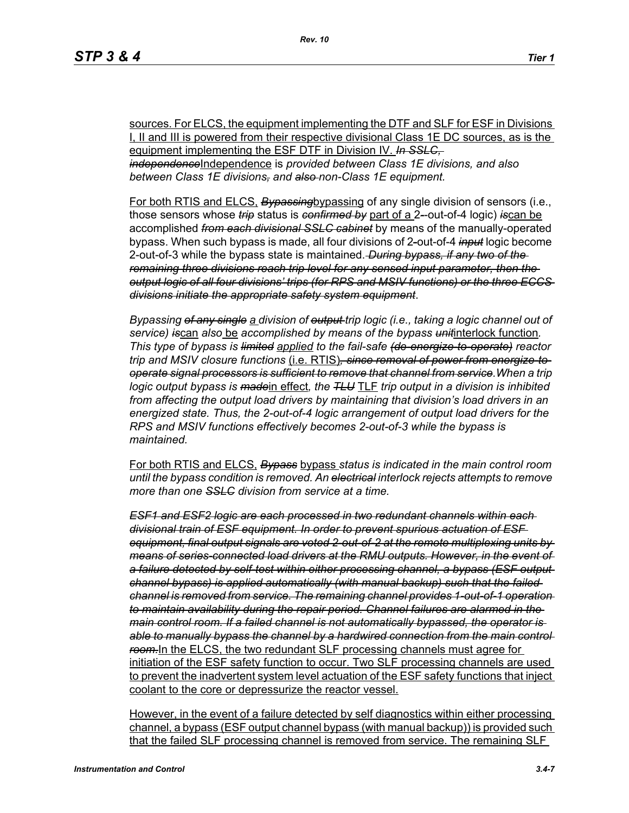sources. For ELCS, the equipment implementing the DTF and SLF for ESF in Divisions I, II and III is powered from their respective divisional Class 1E DC sources, as is the equipment implementing the ESF DTF in Division IV. *In SSLC, independence*Independence is *provided between Class 1E divisions, and also between Class 1E divisions, and also non-Class 1E equipment.*

For both RTIS and ELCS, *Bypassing*bypassing of any single division of sensors (i.e., those sensors whose *trip* status is *confirmed by* part of a 2*-*-out-of-4 logic) *is*can be accomplished *from each divisional SSLC cabinet* by means of the manually-operated bypass. When such bypass is made, all four divisions of 2*-*out-of-4 *input* logic become 2-out-of-3 while the bypass state is maintained. *During bypass, if any two of the remaining three divisions reach trip level for any sensed input parameter, then the output logic of all four divisions' trips (for RPS and MSIV functions) or the three ECCS divisions initiate the appropriate safety system equipment*.

*Bypassing of any single a division of output trip logic (i.e., taking a logic channel out of service) is*can *also* be *accomplished by means of the bypass unit*interlock function*. This type of bypass is limited applied to the fail-safe (de-energize-to-operate) reactor trip and MSIV closure functions* (i.e. RTIS)*, since removal of power from energize-tooperate signal processors is sufficient to remove that channel from service.When a trip logic output bypass is made*in effect*, the TLU* TLF *trip output in a division is inhibited from affecting the output load drivers by maintaining that division's load drivers in an energized state. Thus, the 2-out-of-4 logic arrangement of output load drivers for the RPS and MSIV functions effectively becomes 2-out-of-3 while the bypass is maintained.*

For both RTIS and ELCS, *Bypass* bypass *status is indicated in the main control room until the bypass condition is removed. An electrical interlock rejects attempts to remove more than one SSLC division from service at a time.*

*ESF1 and ESF2 logic are each processed in two redundant channels within each divisional train of ESF equipment. In order to prevent spurious actuation of ESF equipment, final output signals are voted 2-out-of-2 at the remote multiplexing units by means of series-connected load drivers at the RMU outputs. However, in the event of a failure detected by self-test within either processing channel, a bypass (ESF output channel bypass) is applied automatically (with manual backup) such that the failed channel is removed from service. The remaining channel provides 1-out-of-1 operation to maintain availability during the repair period. Channel failures are alarmed in the main control room. If a failed channel is not automatically bypassed, the operator is*  able to manually bypass the channel by a hardwired connection from the main control *room.*In the ELCS, the two redundant SLF processing channels must agree for initiation of the ESF safety function to occur. Two SLF processing channels are used to prevent the inadvertent system level actuation of the ESF safety functions that inject coolant to the core or depressurize the reactor vessel.

However, in the event of a failure detected by self diagnostics within either processing channel, a bypass (ESF output channel bypass (with manual backup)) is provided such that the failed SLF processing channel is removed from service. The remaining SLF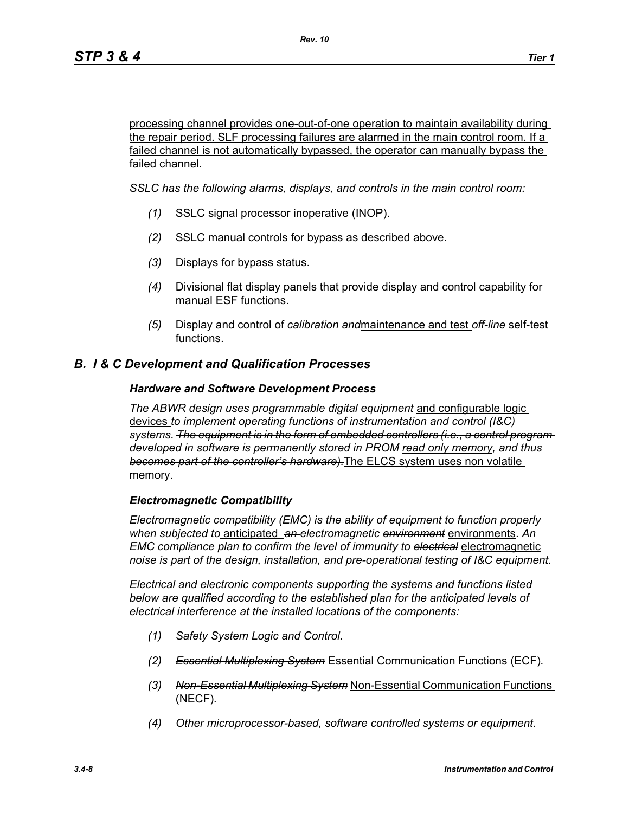processing channel provides one-out-of-one operation to maintain availability during the repair period. SLF processing failures are alarmed in the main control room. If a failed channel is not automatically bypassed, the operator can manually bypass the failed channel.

*SSLC has the following alarms, displays, and controls in the main control room:*

- *(1)* SSLC signal processor inoperative (INOP).
- *(2)* SSLC manual controls for bypass as described above.
- *(3)* Displays for bypass status.
- *(4)* Divisional flat display panels that provide display and control capability for manual ESF functions.
- *(5)* Display and control of *calibration and*maintenance and test *off-line* self-test functions.

## *B. I & C Development and Qualification Processes*

#### *Hardware and Software Development Process*

*The ABWR design uses programmable digital equipment* and configurable logic devices *to implement operating functions of instrumentation and control (I&C) systems. The equipment is in the form of embedded controllers (i.e., a control program developed in software is permanently stored in PROM read only memory, and thus becomes part of the controller's hardware).*The ELCS system uses non volatile memory.

#### *Electromagnetic Compatibility*

*Electromagnetic compatibility (EMC) is the ability of equipment to function properly when subjected to* anticipated *an electromagnetic environment* environments. *An EMC compliance plan to confirm the level of immunity to electrical* electromagnetic *noise is part of the design, installation, and pre-operational testing of I&C equipment*.

*Electrical and electronic components supporting the systems and functions listed below are qualified according to the established plan for the anticipated levels of electrical interference at the installed locations of the components:*

- *(1) Safety System Logic and Control.*
- *(2) Essential Multiplexing System* Essential Communication Functions (ECF)*.*
- *(3) Non-Essential Multiplexing System* Non-Essential Communication Functions (NECF)*.*
- *(4) Other microprocessor-based, software controlled systems or equipment.*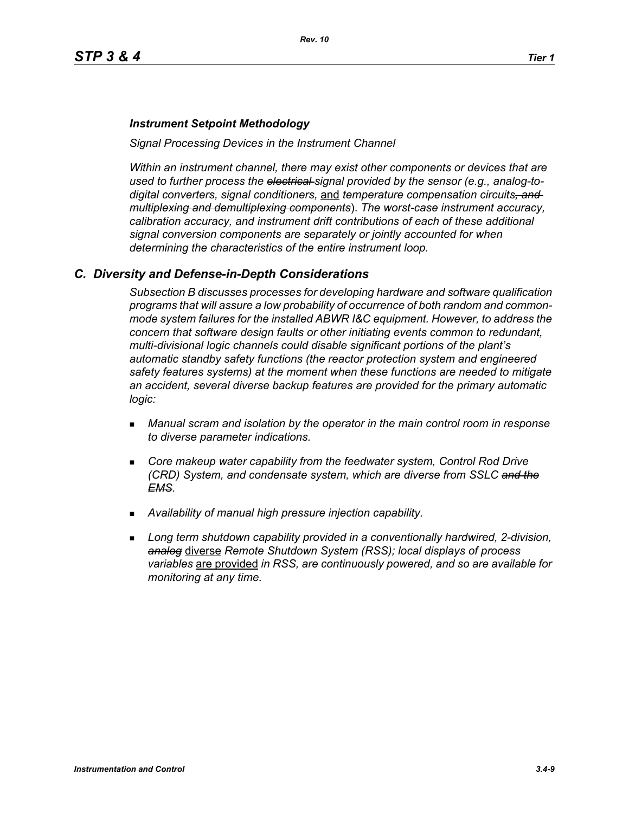#### *Instrument Setpoint Methodology*

*Signal Processing Devices in the Instrument Channel*

*Within an instrument channel, there may exist other components or devices that are used to further process the electrical signal provided by the sensor (e.g., analog-todigital converters, signal conditioners,* and *temperature compensation circuits, and multiplexing and demultiplexing components*). *The worst-case instrument accuracy, calibration accuracy, and instrument drift contributions of each of these additional signal conversion components are separately or jointly accounted for when determining the characteristics of the entire instrument loop.*

#### *C. Diversity and Defense-in-Depth Considerations*

*Subsection B discusses processes for developing hardware and software qualification programs that will assure a low probability of occurrence of both random and commonmode system failures for the installed ABWR I&C equipment. However, to address the concern that software design faults or other initiating events common to redundant, multi-divisional logic channels could disable significant portions of the plant's automatic standby safety functions (the reactor protection system and engineered safety features systems) at the moment when these functions are needed to mitigate an accident, several diverse backup features are provided for the primary automatic logic:*

- *Manual scram and isolation by the operator in the main control room in response to diverse parameter indications.*
- **Core makeup water capability from the feedwater system, Control Rod Drive** *(CRD) System, and condensate system, which are diverse from SSLC and the EMS.*
- *Availability of manual high pressure injection capability.*
- *Long term shutdown capability provided in a conventionally hardwired, 2-division, analog* diverse *Remote Shutdown System (RSS); local displays of process variables* are provided *in RSS, are continuously powered, and so are available for monitoring at any time.*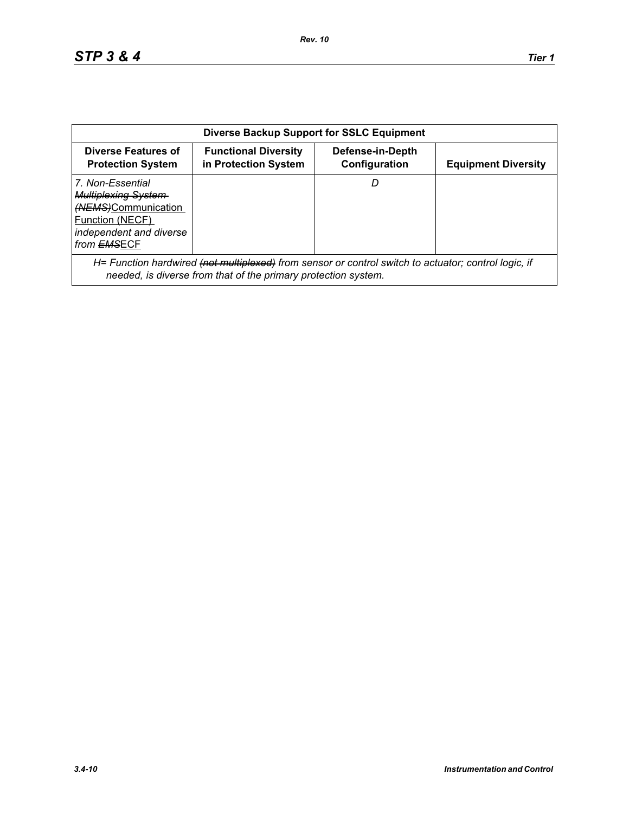| <b>Diverse Backup Support for SSLC Equipment</b>                                                                                           |                                                                                                                                                                        |                                   |                            |  |
|--------------------------------------------------------------------------------------------------------------------------------------------|------------------------------------------------------------------------------------------------------------------------------------------------------------------------|-----------------------------------|----------------------------|--|
| Diverse Features of<br><b>Protection System</b>                                                                                            | <b>Functional Diversity</b><br>in Protection System                                                                                                                    | Defense-in-Depth<br>Configuration | <b>Equipment Diversity</b> |  |
| 7. Non-Essential<br><b>Multiplexing System-</b><br>(NEMS)Communication<br>Function (NECF)<br>independent and diverse<br>from <b>EMSECF</b> |                                                                                                                                                                        |                                   |                            |  |
|                                                                                                                                            | H= Function hardwired (not multiplexed) from sensor or control switch to actuator; control logic, if<br>needed, is diverse from that of the primary protection system. |                                   |                            |  |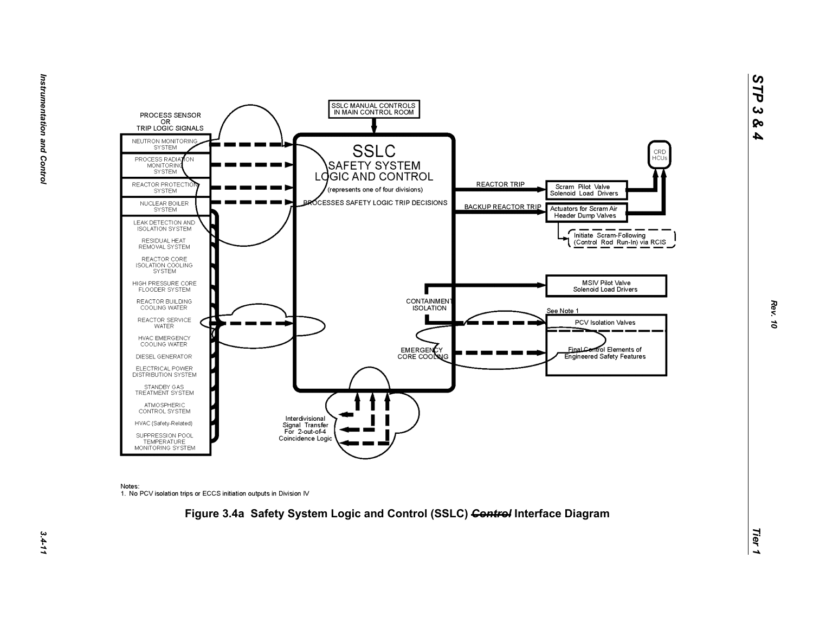



Notes:

1. No PCV isolation trips or ECCS initiation outputs in Division IV



*Rev. 10*

*STP 3 & 4*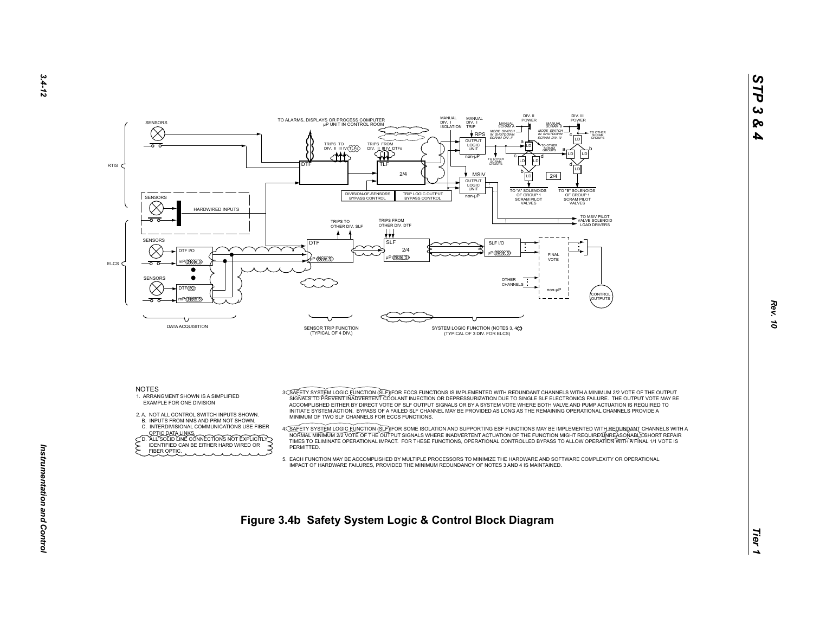



- 2. A. NOT ALL CONTROL SWITCH INPUTS SHOWN.
- B. INPUTS FROM NMS AND PRM NOT SHOWN.
- C. INTERDIVISIONAL COMMUNICATIONS USE FIBER

OPTIC DATA LINKS.<br>
CD. ALL SOLID LINE CONNECTIONS NOT EXPLICITLY<br>
FIDENTIFIED CAN BE EITHER HARD WIRED OR FIBER OPTIC.

 ACCOMPLISHED EITHER BY DIRECT VOTE OF SLF OUTPUT SIGNALS OR BY A SYSTEM VOTE WHERE BOTH VALVE AND PUMP ACTUATION IS REQUIRED TO INITIATE SYSTEM ACTION. BYPASS OF A FAILED SLF CHANNEL MAY BE PROVIDED AS LONG AS THE REMAINING OPERATIONAL CHANNELS PROVIDE A MINIMUM OF TWO SLF CHANNELS FOR ECCS FUNCTIONS.

A<u>C SAFETY SYSTEM LOGIC FUNCTION (SLF</u>)IFOR SOME ISOLATION AND SUPPORTING ESF FUNCTIONS MAY BE IMPLEMENTED WITH A<br>NORMALT MINIMUM 272 VOTE OF THE OUTPUT SIGNALE WHERE INADVERTENT ACTUATION OF THE FUNCTION MIGHT REQUIREASON **PERMITTED.** 

 5. EACH FUNCTION MAY BE ACCOMPLISHED BY MULTIPLE PROCESSORS TO MINIMIZE THE HARDWARE AND SOFTWARE COMPLEXITY OR OPERATIONALIMPACT OF HARDWARE FAILURES, PROVIDED THE MINIMUM REDUNDANCY OF NOTES 3 AND 4 IS MAINTAINED.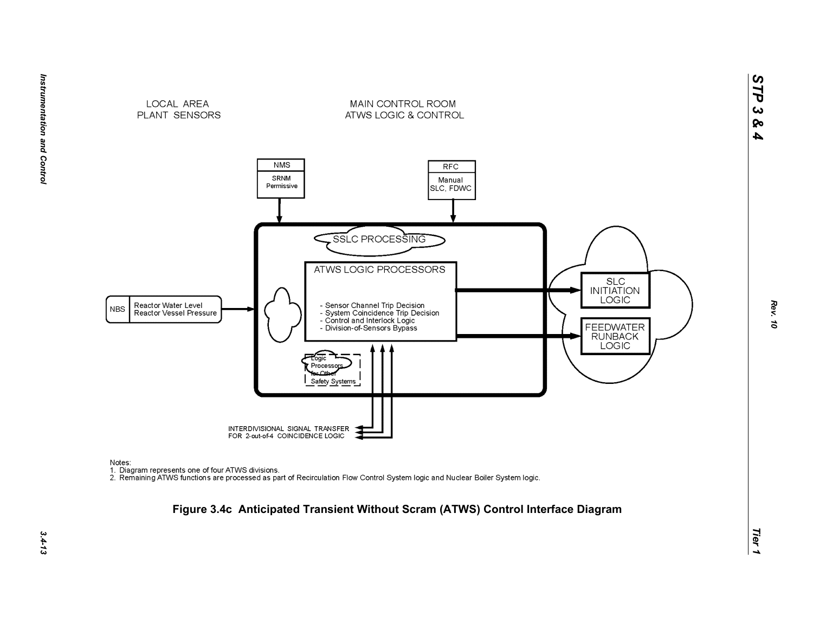



Notes:

nction<br>1. Diagram represents one of four ATWS divisions.<br>2. Remaining ATWS functions are processed as part of Recirculation Flow Control System logic and Nuclear Boiler System logic.

INTERDIVISIONAL SIGNAL TRANSFER<br>FOR 2-out-of-4 COINCIDENCE LOGIC

Safety Systems

# *Tier 1* **Figure 3.4c Anticipated Transient Without Scram (ATWS) Control Interface Diagram**

**SLC INITIATION** LOGIC

FEEDWATER<br>RUNBACK LOGIC

*STP 3 & 4*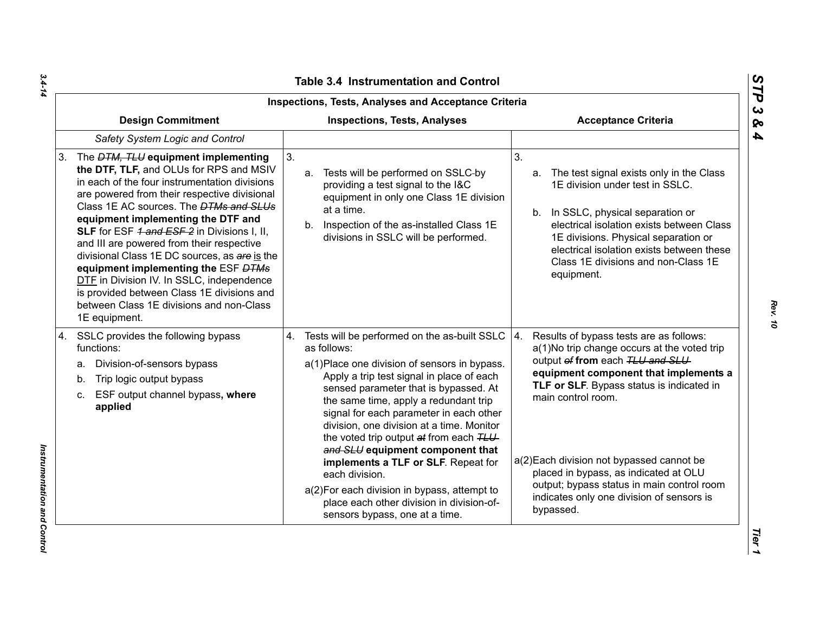| Inspections, Tests, Analyses and Acceptance Criteria                                                                                                                                                                                                                                                                                                                                                                                                                                                                                                                                                                            |                                                                                                                                                                                                                                                                                                                                                                                                                                                                                                                                                                                                              |                                                                                                                                                                                                                                                                                                                                                                                                                                           |  |  |
|---------------------------------------------------------------------------------------------------------------------------------------------------------------------------------------------------------------------------------------------------------------------------------------------------------------------------------------------------------------------------------------------------------------------------------------------------------------------------------------------------------------------------------------------------------------------------------------------------------------------------------|--------------------------------------------------------------------------------------------------------------------------------------------------------------------------------------------------------------------------------------------------------------------------------------------------------------------------------------------------------------------------------------------------------------------------------------------------------------------------------------------------------------------------------------------------------------------------------------------------------------|-------------------------------------------------------------------------------------------------------------------------------------------------------------------------------------------------------------------------------------------------------------------------------------------------------------------------------------------------------------------------------------------------------------------------------------------|--|--|
| <b>Design Commitment</b>                                                                                                                                                                                                                                                                                                                                                                                                                                                                                                                                                                                                        | <b>Inspections, Tests, Analyses</b>                                                                                                                                                                                                                                                                                                                                                                                                                                                                                                                                                                          | <b>Acceptance Criteria</b>                                                                                                                                                                                                                                                                                                                                                                                                                |  |  |
| Safety System Logic and Control                                                                                                                                                                                                                                                                                                                                                                                                                                                                                                                                                                                                 |                                                                                                                                                                                                                                                                                                                                                                                                                                                                                                                                                                                                              |                                                                                                                                                                                                                                                                                                                                                                                                                                           |  |  |
| The <i>DTM, TLU</i> equipment implementing<br>3.<br>the DTF, TLF, and OLUs for RPS and MSIV<br>in each of the four instrumentation divisions<br>are powered from their respective divisional<br>Class 1E AC sources. The <b>DTMs and SLUs</b><br>equipment implementing the DTF and<br>SLF for ESF 1 and ESF 2 in Divisions I, II,<br>and III are powered from their respective<br>divisional Class 1E DC sources, as are is the<br>equipment implementing the ESF DTMs<br>DTF in Division IV. In SSLC, independence<br>is provided between Class 1E divisions and<br>between Class 1E divisions and non-Class<br>1E equipment. | 3 <sub>1</sub><br>Tests will be performed on SSLC-by<br>a.<br>providing a test signal to the I&C<br>equipment in only one Class 1E division<br>at a time.<br>b. Inspection of the as-installed Class 1E<br>divisions in SSLC will be performed.                                                                                                                                                                                                                                                                                                                                                              | 3 <sub>1</sub><br>The test signal exists only in the Class<br>a.<br>1E division under test in SSLC.<br>b. In SSLC, physical separation or<br>electrical isolation exists between Class<br>1E divisions. Physical separation or<br>electrical isolation exists between these<br>Class 1E divisions and non-Class 1E<br>equipment.                                                                                                          |  |  |
| SSLC provides the following bypass<br>4.<br>functions:<br>Division-of-sensors bypass<br>a.<br>Trip logic output bypass<br>b.<br>ESF output channel bypass, where<br>C.<br>applied                                                                                                                                                                                                                                                                                                                                                                                                                                               | 4. Tests will be performed on the as-built SSLC<br>as follows:<br>a(1) Place one division of sensors in bypass.<br>Apply a trip test signal in place of each<br>sensed parameter that is bypassed. At<br>the same time, apply a redundant trip<br>signal for each parameter in each other<br>division, one division at a time. Monitor<br>the voted trip output at from each TLU<br>and SLU equipment component that<br>implements a TLF or SLF. Repeat for<br>each division.<br>a(2) For each division in bypass, attempt to<br>place each other division in division-of-<br>sensors bypass, one at a time. | 4.<br>Results of bypass tests are as follows:<br>a(1)No trip change occurs at the voted trip<br>output of from each TLU and SLU<br>equipment component that implements a<br>TLF or SLF. Bypass status is indicated in<br>main control room.<br>a(2) Each division not bypassed cannot be<br>placed in bypass, as indicated at OLU<br>output; bypass status in main control room<br>indicates only one division of sensors is<br>bypassed. |  |  |

*Rev. 10*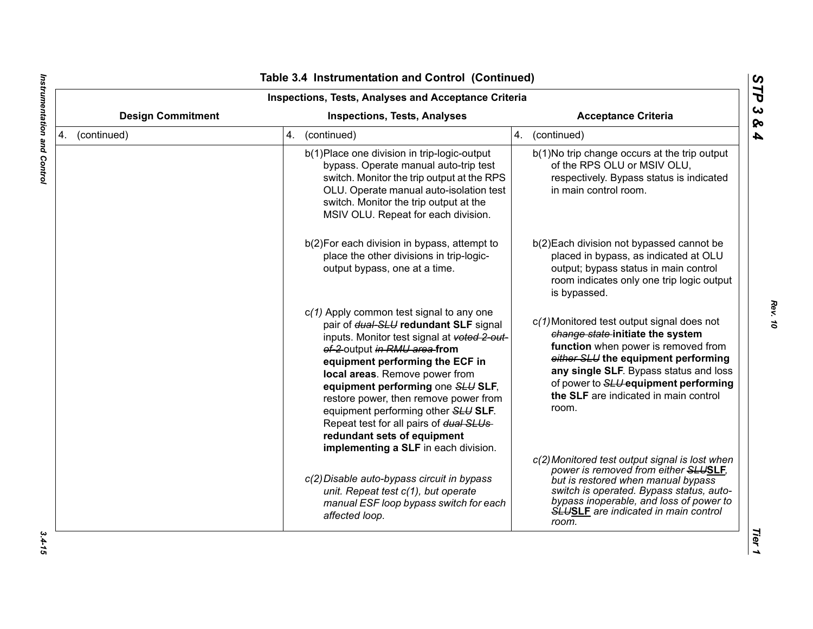| <b>Inspections, Tests, Analyses and Acceptance Criteria</b> |                          |                                                                                                                                                                                                                                                                                                                                                                                                                                                                               |                                                                                                                                                                                                                                                                                                  |  |
|-------------------------------------------------------------|--------------------------|-------------------------------------------------------------------------------------------------------------------------------------------------------------------------------------------------------------------------------------------------------------------------------------------------------------------------------------------------------------------------------------------------------------------------------------------------------------------------------|--------------------------------------------------------------------------------------------------------------------------------------------------------------------------------------------------------------------------------------------------------------------------------------------------|--|
|                                                             | <b>Design Commitment</b> | <b>Inspections, Tests, Analyses</b>                                                                                                                                                                                                                                                                                                                                                                                                                                           | <b>Acceptance Criteria</b>                                                                                                                                                                                                                                                                       |  |
| 4. (continued)                                              |                          | 4. (continued)                                                                                                                                                                                                                                                                                                                                                                                                                                                                | 4. (continued)                                                                                                                                                                                                                                                                                   |  |
|                                                             |                          | b(1) Place one division in trip-logic-output<br>bypass. Operate manual auto-trip test<br>switch. Monitor the trip output at the RPS<br>OLU. Operate manual auto-isolation test<br>switch. Monitor the trip output at the<br>MSIV OLU. Repeat for each division.                                                                                                                                                                                                               | b(1)No trip change occurs at the trip output<br>of the RPS OLU or MSIV OLU,<br>respectively. Bypass status is indicated<br>in main control room.                                                                                                                                                 |  |
|                                                             |                          | b(2) For each division in bypass, attempt to<br>place the other divisions in trip-logic-<br>output bypass, one at a time.                                                                                                                                                                                                                                                                                                                                                     | b(2) Each division not bypassed cannot be<br>placed in bypass, as indicated at OLU<br>output; bypass status in main control<br>room indicates only one trip logic output<br>is bypassed.                                                                                                         |  |
|                                                             |                          | $c(1)$ Apply common test signal to any one<br>pair of dual-SLU redundant SLF signal<br>inputs. Monitor test signal at voted 2-out-<br>of-2 output in RMU area from<br>equipment performing the ECF in<br>local areas. Remove power from<br>equipment performing one SLU SLF,<br>restore power, then remove power from<br>equipment performing other SLU SLF.<br>Repeat test for all pairs of dual SLUs<br>redundant sets of equipment<br>implementing a SLF in each division. | c(1) Monitored test output signal does not<br>change state-initiate the system<br>function when power is removed from<br>either SLU the equipment performing<br>any single SLF. Bypass status and loss<br>of power to SLU equipment performing<br>the SLF are indicated in main control<br>room. |  |
|                                                             |                          | c(2) Disable auto-bypass circuit in bypass<br>unit. Repeat test c(1), but operate<br>manual ESF loop bypass switch for each<br>affected loop.                                                                                                                                                                                                                                                                                                                                 | c(2) Monitored test output signal is lost when<br>power is removed from either SLUSLF,<br>but is restored when manual bypass<br>switch is operated. Bypass status, auto-<br>bypass inoperable, and loss of power to<br><b>SLUSLE</b> are indicated in main control<br>room.                      |  |

 $\blacksquare$ 

*Rev. 10*

 $3.4 - 15$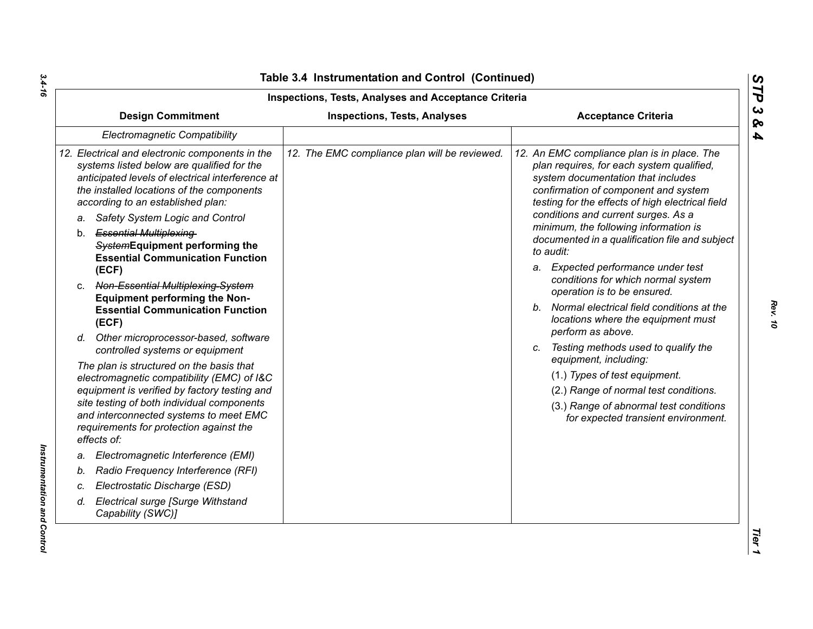| <b>Inspections, Tests, Analyses and Acceptance Criteria</b>                                                                                                                                                                                                                              |                                               |                                                                                                                                                                                                                                                                                                            |  |  |
|------------------------------------------------------------------------------------------------------------------------------------------------------------------------------------------------------------------------------------------------------------------------------------------|-----------------------------------------------|------------------------------------------------------------------------------------------------------------------------------------------------------------------------------------------------------------------------------------------------------------------------------------------------------------|--|--|
| <b>Design Commitment</b>                                                                                                                                                                                                                                                                 | <b>Inspections, Tests, Analyses</b>           | <b>Acceptance Criteria</b>                                                                                                                                                                                                                                                                                 |  |  |
| Electromagnetic Compatibility                                                                                                                                                                                                                                                            |                                               |                                                                                                                                                                                                                                                                                                            |  |  |
| 12. Electrical and electronic components in the<br>systems listed below are qualified for the<br>anticipated levels of electrical interference at<br>the installed locations of the components<br>according to an established plan:<br>Safety System Logic and Control<br>a.             | 12. The EMC compliance plan will be reviewed. | 12. An EMC compliance plan is in place. The<br>plan requires, for each system qualified,<br>system documentation that includes<br>confirmation of component and system<br>testing for the effects of high electrical field<br>conditions and current surges. As a<br>minimum, the following information is |  |  |
| b. Essential Multiplexing-<br>SystemEquipment performing the<br><b>Essential Communication Function</b>                                                                                                                                                                                  |                                               | documented in a qualification file and subject<br>to audit:                                                                                                                                                                                                                                                |  |  |
| (ECF)<br>c. Non-Essential Multiplexing-System                                                                                                                                                                                                                                            |                                               | a. Expected performance under test<br>conditions for which normal system<br>operation is to be ensured.                                                                                                                                                                                                    |  |  |
| <b>Equipment performing the Non-</b><br><b>Essential Communication Function</b><br>(ECF)                                                                                                                                                                                                 |                                               | b. Normal electrical field conditions at the<br>locations where the equipment must                                                                                                                                                                                                                         |  |  |
| d. Other microprocessor-based, software<br>controlled systems or equipment                                                                                                                                                                                                               |                                               | perform as above.<br>c. Testing methods used to qualify the<br>equipment, including:                                                                                                                                                                                                                       |  |  |
| The plan is structured on the basis that<br>electromagnetic compatibility (EMC) of I&C<br>equipment is verified by factory testing and<br>site testing of both individual components<br>and interconnected systems to meet EMC<br>requirements for protection against the<br>effects of: |                                               | (1.) Types of test equipment.<br>(2.) Range of normal test conditions.<br>(3.) Range of abnormal test conditions<br>for expected transient environment.                                                                                                                                                    |  |  |
| Electromagnetic Interference (EMI)<br>a.                                                                                                                                                                                                                                                 |                                               |                                                                                                                                                                                                                                                                                                            |  |  |
| Radio Frequency Interference (RFI)<br>b.                                                                                                                                                                                                                                                 |                                               |                                                                                                                                                                                                                                                                                                            |  |  |
| Electrostatic Discharge (ESD)<br>C.                                                                                                                                                                                                                                                      |                                               |                                                                                                                                                                                                                                                                                                            |  |  |
| Electrical surge [Surge Withstand<br>d.<br>Capability (SWC)]                                                                                                                                                                                                                             |                                               |                                                                                                                                                                                                                                                                                                            |  |  |